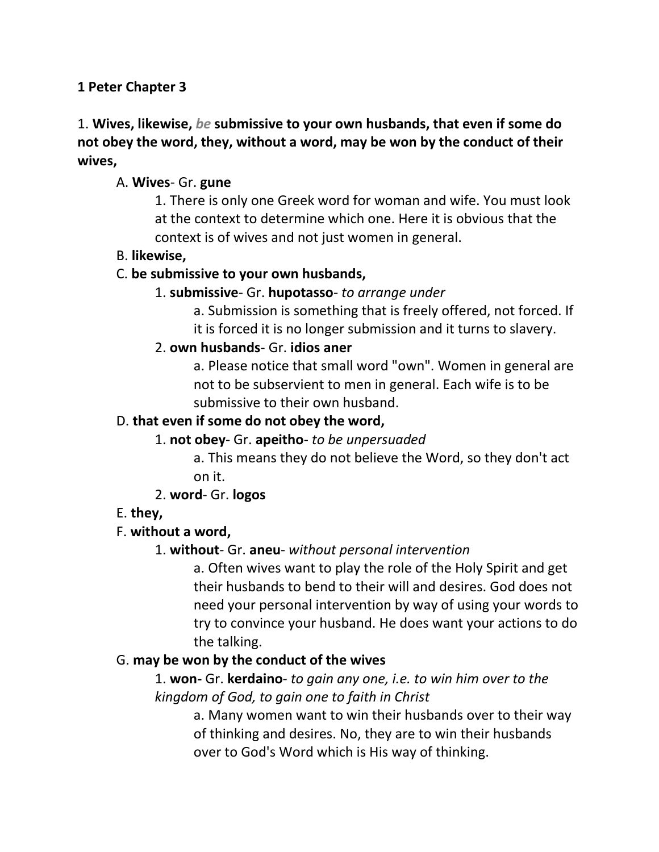#### **1 Peter Chapter 3**

# 1. **Wives, likewise,** *be* **submissive to your own husbands, that even if some do not obey the word, they, without a word, may be won by the conduct of their wives,**

#### A. **Wives**- Gr. **gune**

1. There is only one Greek word for woman and wife. You must look at the context to determine which one. Here it is obvious that the context is of wives and not just women in general.

#### B. **likewise,**

#### C. **be submissive to your own husbands,**

#### 1. **submissive**- Gr. **hupotasso**- *to arrange under*

a. Submission is something that is freely offered, not forced. If it is forced it is no longer submission and it turns to slavery.

#### 2. **own husbands**- Gr. **idios aner**

a. Please notice that small word "own". Women in general are not to be subservient to men in general. Each wife is to be submissive to their own husband.

#### D. **that even if some do not obey the word,**

#### 1. **not obey**- Gr. **apeitho**- *to be unpersuaded*

a. This means they do not believe the Word, so they don't act on it.

#### 2. **word**- Gr. **logos**

#### E. **they,**

#### F. **without a word,**

#### 1. **without**- Gr. **aneu**- *without personal intervention*

a. Often wives want to play the role of the Holy Spirit and get their husbands to bend to their will and desires. God does not need your personal intervention by way of using your words to try to convince your husband. He does want your actions to do the talking.

#### G. **may be won by the conduct of the wives**

## 1. **won-** Gr. **kerdaino**- *to gain any one, i.e. to win him over to the kingdom of God, to gain one to faith in Christ*

a. Many women want to win their husbands over to their way of thinking and desires. No, they are to win their husbands over to God's Word which is His way of thinking.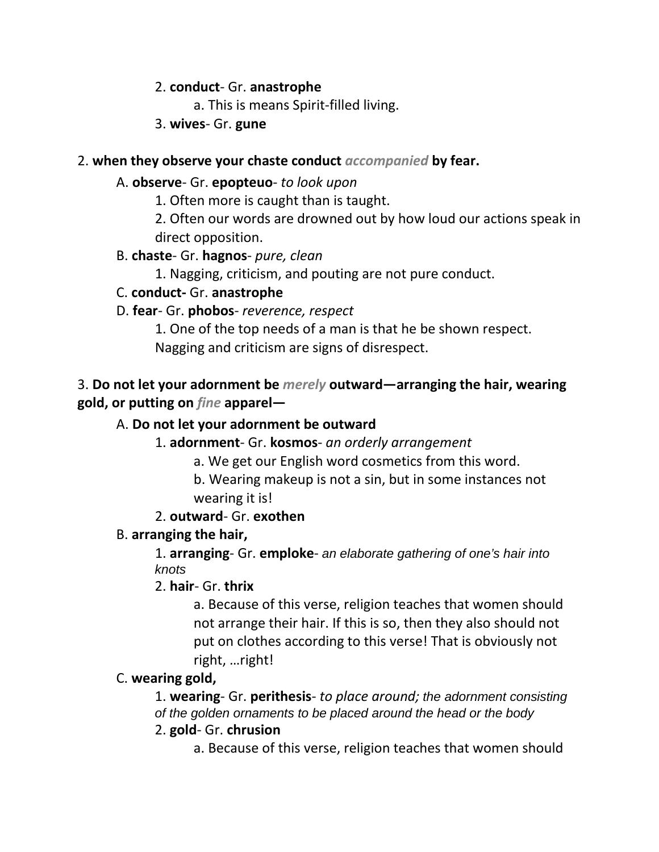#### 2. **conduct**- Gr. **anastrophe**

a. This is means Spirit-filled living.

3. **wives**- Gr. **gune**

## 2. **when they observe your chaste conduct** *accompanied* **by fear.**

## A. **observe**- Gr. **epopteuo**- *to look upon*

1. Often more is caught than is taught.

2. Often our words are drowned out by how loud our actions speak in direct opposition.

# B. **chaste**- Gr. **hagnos**- *pure, clean*

1. Nagging, criticism, and pouting are not pure conduct.

# C. **conduct-** Gr. **anastrophe**

# D. **fear**- Gr. **phobos**- *reverence, respect*

1. One of the top needs of a man is that he be shown respect. Nagging and criticism are signs of disrespect.

# 3. **Do not let your adornment be** *merely* **outward—arranging the hair, wearing gold, or putting on** *fine* **apparel—**

# A. **Do not let your adornment be outward**

1. **adornment**- Gr. **kosmos**- *an orderly arrangement*

a. We get our English word cosmetics from this word.

b. Wearing makeup is not a sin, but in some instances not wearing it is!

# 2. **outward**- Gr. **exothen**

# B. **arranging the hair,**

1. **arranging**- Gr. **emploke**- *an elaborate gathering of one's hair into knots*

2. **hair**- Gr. **thrix**

a. Because of this verse, religion teaches that women should not arrange their hair. If this is so, then they also should not put on clothes according to this verse! That is obviously not right, …right!

# C. **wearing gold,**

1. **wearing**- Gr. **perithesis**- *to place around; the adornment consisting of the golden ornaments to be placed around the head or the body*

# 2. **gold**- Gr. **chrusion**

a. Because of this verse, religion teaches that women should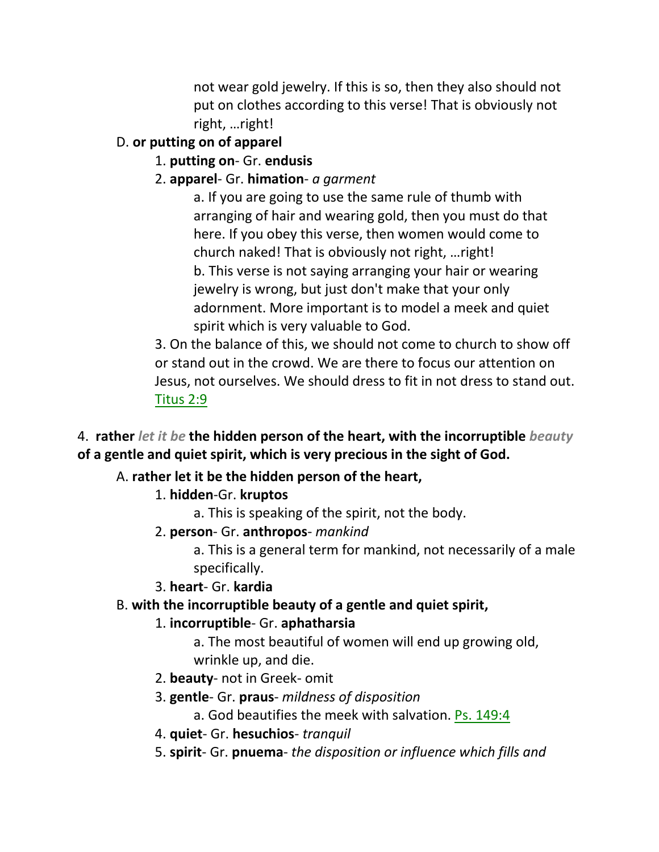not wear gold jewelry. If this is so, then they also should not put on clothes according to this verse! That is obviously not right, …right!

# D. **or putting on of apparel**

# 1. **putting on**- Gr. **endusis**

2. **apparel**- Gr. **himation**- *a garment*

a. If you are going to use the same rule of thumb with arranging of hair and wearing gold, then you must do that here. If you obey this verse, then women would come to church naked! That is obviously not right, …right! b. This verse is not saying arranging your hair or wearing jewelry is wrong, but just don't make that your only adornment. More important is to model a meek and quiet spirit which is very valuable to God.

3. On the balance of this, we should not come to church to show off or stand out in the crowd. We are there to focus our attention on Jesus, not ourselves. We should dress to fit in not dress to stand out. Titus 2:9

4. **rather** *let it be* **the hidden person of the heart, with the incorruptible** *beauty* **of a gentle and quiet spirit, which is very precious in the sight of God.** 

# A. **rather let it be the hidden person of the heart,**

# 1. **hidden**-Gr. **kruptos**

a. This is speaking of the spirit, not the body.

2. **person**- Gr. **anthropos**- *mankind*

a. This is a general term for mankind, not necessarily of a male specifically.

# 3. **heart**- Gr. **kardia**

# B. **with the incorruptible beauty of a gentle and quiet spirit,**

# 1. **incorruptible**- Gr. **aphatharsia**

a. The most beautiful of women will end up growing old, wrinkle up, and die.

- 2. **beauty** not in Greek- omit
- 3. **gentle** Gr. **praus** *mildness of disposition*

a. God beautifies the meek with salvation. Ps. 149:4

- 4. **quiet** Gr. **hesuchios** *tranquil*
- 5. **spirit** Gr. **pnuema** *the disposition or influence which fills and*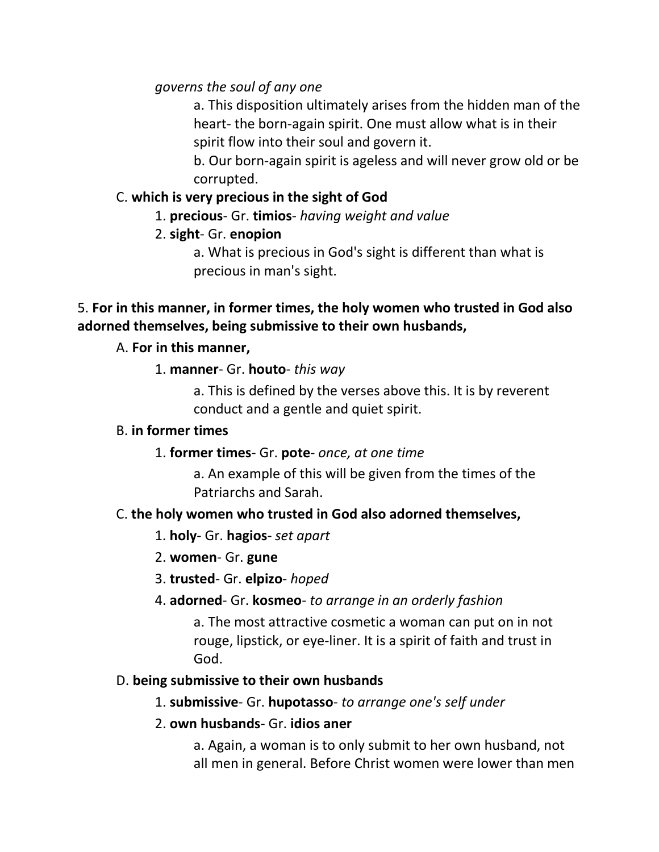*governs the soul of any one*

a. This disposition ultimately arises from the hidden man of the heart- the born-again spirit. One must allow what is in their spirit flow into their soul and govern it.

b. Our born-again spirit is ageless and will never grow old or be corrupted.

## C. **which is very precious in the sight of God**

1. **precious**- Gr. **timios**- *having weight and value*

# 2. **sight**- Gr. **enopion**

a. What is precious in God's sight is different than what is precious in man's sight.

# 5. **For in this manner, in former times, the holy women who trusted in God also adorned themselves, being submissive to their own husbands,**

# A. **For in this manner,**

# 1. **manner**- Gr. **houto**- *this way*

a. This is defined by the verses above this. It is by reverent conduct and a gentle and quiet spirit.

## B. **in former times**

1. **former times**- Gr. **pote**- *once, at one time*

a. An example of this will be given from the times of the Patriarchs and Sarah.

# C. **the holy women who trusted in God also adorned themselves,**

- 1. **holy** Gr. **hagios** *set apart*
- 2. **women** Gr. **gune**
- 3. **trusted** Gr. **elpizo** *hoped*
- 4. **adorned** Gr. **kosmeo** *to arrange in an orderly fashion*

a. The most attractive cosmetic a woman can put on in not rouge, lipstick, or eye-liner. It is a spirit of faith and trust in God.

# D. **being submissive to their own husbands**

## 1. **submissive**- Gr. **hupotasso**- *to arrange one's self under*

## 2. **own husbands**- Gr. **idios aner**

a. Again, a woman is to only submit to her own husband, not all men in general. Before Christ women were lower than men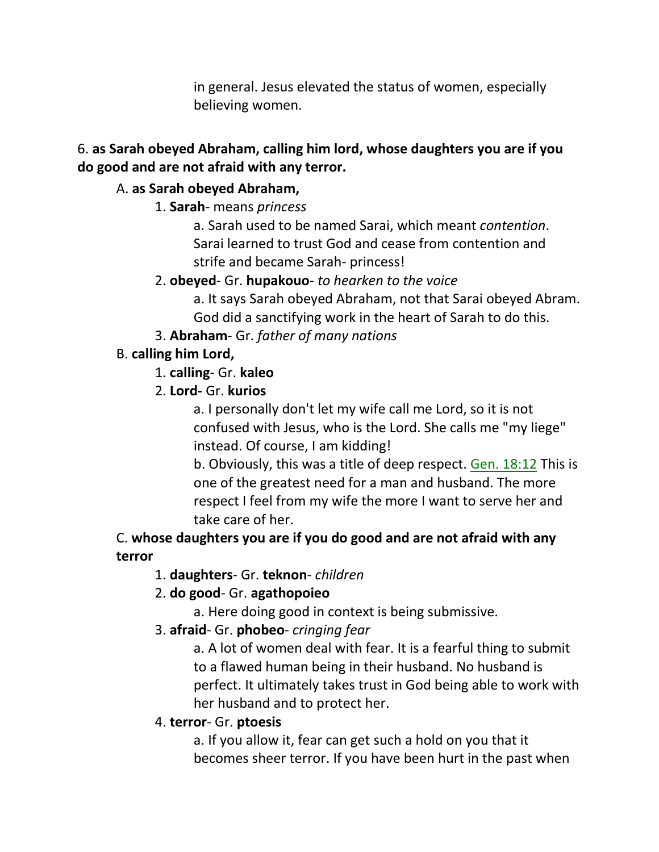in general. Jesus elevated the status of women, especially believing women.

## 6. **as Sarah obeyed Abraham, calling him lord, whose daughters you are if you do good and are not afraid with any terror.**

# A. **as Sarah obeyed Abraham,**

1. **Sarah**- means *princess*

a. Sarah used to be named Sarai, which meant *contention*. Sarai learned to trust God and cease from contention and strife and became Sarah- princess!

2. **obeyed**- Gr. **hupakouo**- *to hearken to the voice*

a. It says Sarah obeyed Abraham, not that Sarai obeyed Abram. God did a sanctifying work in the heart of Sarah to do this.

3. **Abraham**- Gr. *father of many nations*

# B. **calling him Lord,**

- 1. **calling** Gr. **kaleo**
- 2. **Lord-** Gr. **kurios**

a. I personally don't let my wife call me Lord, so it is not confused with Jesus, who is the Lord. She calls me "my liege" instead. Of course, I am kidding!

b. Obviously, this was a title of deep respect. Gen. 18:12 This is one of the greatest need for a man and husband. The more respect I feel from my wife the more I want to serve her and take care of her.

# C. **whose daughters you are if you do good and are not afraid with any terror**

1. **daughters**- Gr. **teknon**- *children*

# 2. **do good**- Gr. **agathopoieo**

a. Here doing good in context is being submissive.

3. **afraid**- Gr. **phobeo**- *cringing fear*

a. A lot of women deal with fear. It is a fearful thing to submit to a flawed human being in their husband. No husband is perfect. It ultimately takes trust in God being able to work with her husband and to protect her.

## 4. **terror**- Gr. **ptoesis**

a. If you allow it, fear can get such a hold on you that it becomes sheer terror. If you have been hurt in the past when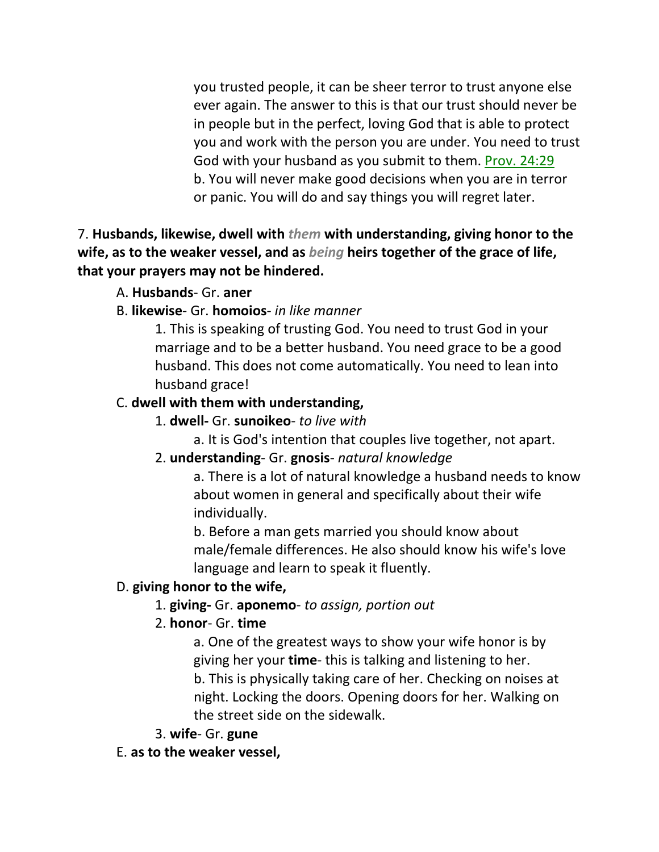you trusted people, it can be sheer terror to trust anyone else ever again. The answer to this is that our trust should never be in people but in the perfect, loving God that is able to protect you and work with the person you are under. You need to trust God with your husband as you submit to them. Prov. 24:29 b. You will never make good decisions when you are in terror or panic. You will do and say things you will regret later.

7. **Husbands, likewise, dwell with** *them* **with understanding, giving honor to the wife, as to the weaker vessel, and as** *being* **heirs together of the grace of life, that your prayers may not be hindered.** 

#### A. **Husbands**- Gr. **aner**

B. **likewise**- Gr. **homoios**- *in like manner*

1. This is speaking of trusting God. You need to trust God in your marriage and to be a better husband. You need grace to be a good husband. This does not come automatically. You need to lean into husband grace!

#### C. **dwell with them with understanding,**

- 1. **dwell-** Gr. **sunoikeo** *to live with*
	- a. It is God's intention that couples live together, not apart.

#### 2. **understanding**- Gr. **gnosis**- *natural knowledge*

a. There is a lot of natural knowledge a husband needs to know about women in general and specifically about their wife individually.

b. Before a man gets married you should know about male/female differences. He also should know his wife's love language and learn to speak it fluently.

#### D. **giving honor to the wife,**

## 1. **giving-** Gr. **aponemo**- *to assign, portion out*

#### 2. **honor**- Gr. **time**

a. One of the greatest ways to show your wife honor is by giving her your **time**- this is talking and listening to her. b. This is physically taking care of her. Checking on noises at night. Locking the doors. Opening doors for her. Walking on the street side on the sidewalk.

#### 3. **wife**- Gr. **gune**

E. **as to the weaker vessel,**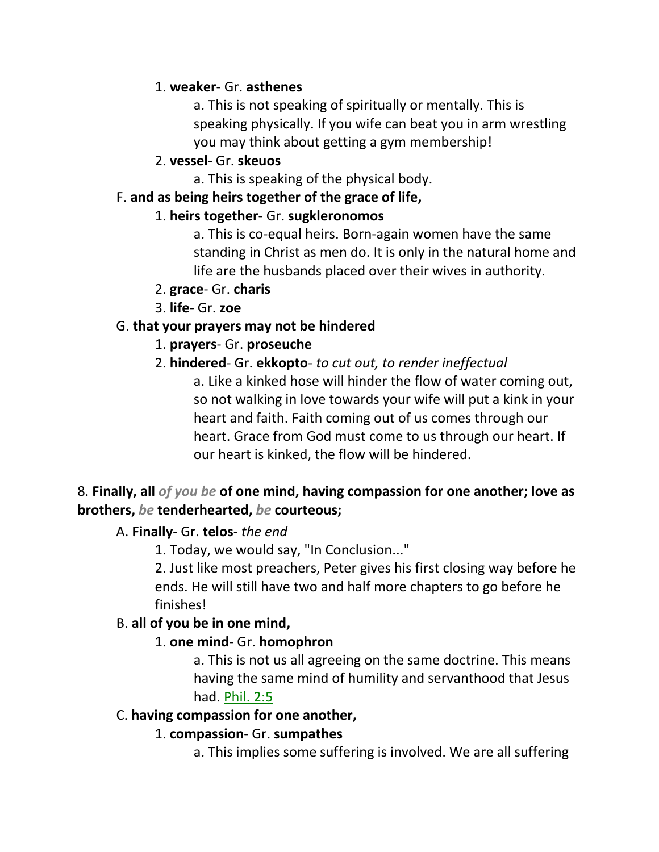## 1. **weaker**- Gr. **asthenes**

a. This is not speaking of spiritually or mentally. This is speaking physically. If you wife can beat you in arm wrestling you may think about getting a gym membership!

## 2. **vessel**- Gr. **skeuos**

a. This is speaking of the physical body.

## F. **and as being heirs together of the grace of life,**

## 1. **heirs together**- Gr. **sugkleronomos**

a. This is co-equal heirs. Born-again women have the same standing in Christ as men do. It is only in the natural home and life are the husbands placed over their wives in authority.

## 2. **grace**- Gr. **charis**

3. **life**- Gr. **zoe**

# G. **that your prayers may not be hindered**

# 1. **prayers**- Gr. **proseuche**

# 2. **hindered**- Gr. **ekkopto**- *to cut out, to render ineffectual*

a. Like a kinked hose will hinder the flow of water coming out, so not walking in love towards your wife will put a kink in your heart and faith. Faith coming out of us comes through our heart. Grace from God must come to us through our heart. If our heart is kinked, the flow will be hindered.

# 8. **Finally, all** *of you be* **of one mind, having compassion for one another; love as brothers,** *be* **tenderhearted,** *be* **courteous;**

## A. **Finally**- Gr. **telos**- *the end*

1. Today, we would say, "In Conclusion..."

2. Just like most preachers, Peter gives his first closing way before he ends. He will still have two and half more chapters to go before he finishes!

## B. **all of you be in one mind,**

## 1. **one mind**- Gr. **homophron**

a. This is not us all agreeing on the same doctrine. This means having the same mind of humility and servanthood that Jesus had. Phil. 2:5

## C. **having compassion for one another,**

# 1. **compassion**- Gr. **sumpathes**

a. This implies some suffering is involved. We are all suffering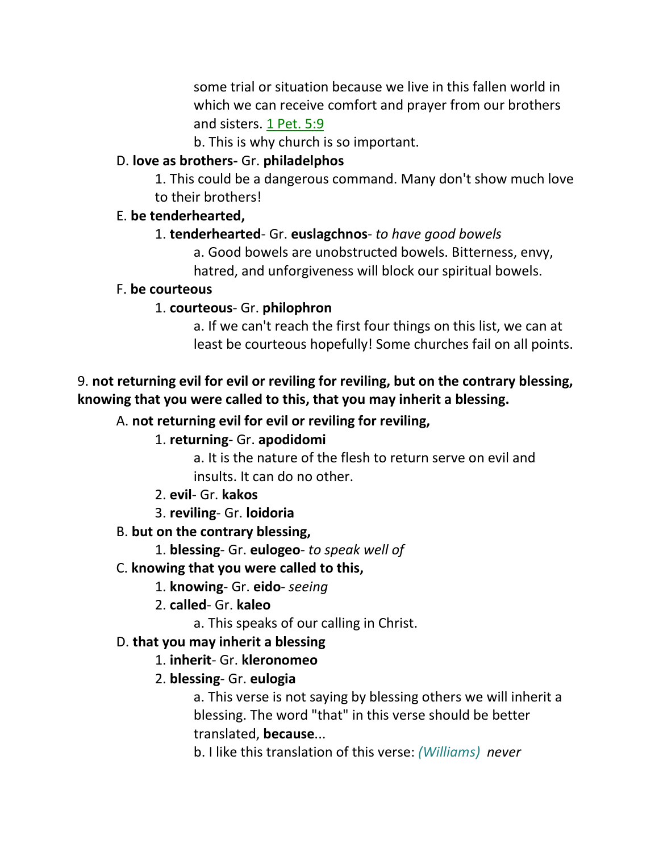some trial or situation because we live in this fallen world in which we can receive comfort and prayer from our brothers and sisters. 1 Pet. 5:9

b. This is why church is so important.

#### D. **love as brothers-** Gr. **philadelphos**

1. This could be a dangerous command. Many don't show much love to their brothers!

#### E. **be tenderhearted,**

#### 1. **tenderhearted**- Gr. **euslagchnos**- *to have good bowels*

a. Good bowels are unobstructed bowels. Bitterness, envy,

hatred, and unforgiveness will block our spiritual bowels.

#### F. **be courteous**

## 1. **courteous**- Gr. **philophron**

a. If we can't reach the first four things on this list, we can at least be courteous hopefully! Some churches fail on all points.

## 9. **not returning evil for evil or reviling for reviling, but on the contrary blessing, knowing that you were called to this, that you may inherit a blessing.**

## A. **not returning evil for evil or reviling for reviling,**

## 1. **returning**- Gr. **apodidomi**

a. It is the nature of the flesh to return serve on evil and insults. It can do no other.

- 2. **evil** Gr. **kakos**
- 3. **reviling** Gr. **loidoria**

## B. **but on the contrary blessing,**

1. **blessing**- Gr. **eulogeo**- *to speak well of*

#### C. **knowing that you were called to this,**

- 1. **knowing** Gr. **eido** *seeing*
- 2. **called** Gr. **kaleo**
	- a. This speaks of our calling in Christ.

## D. **that you may inherit a blessing**

#### 1. **inherit**- Gr. **kleronomeo**

## 2. **blessing**- Gr. **eulogia**

a. This verse is not saying by blessing others we will inherit a blessing. The word "that" in this verse should be better translated, **because**...

b. I like this translation of this verse: *(Williams) never*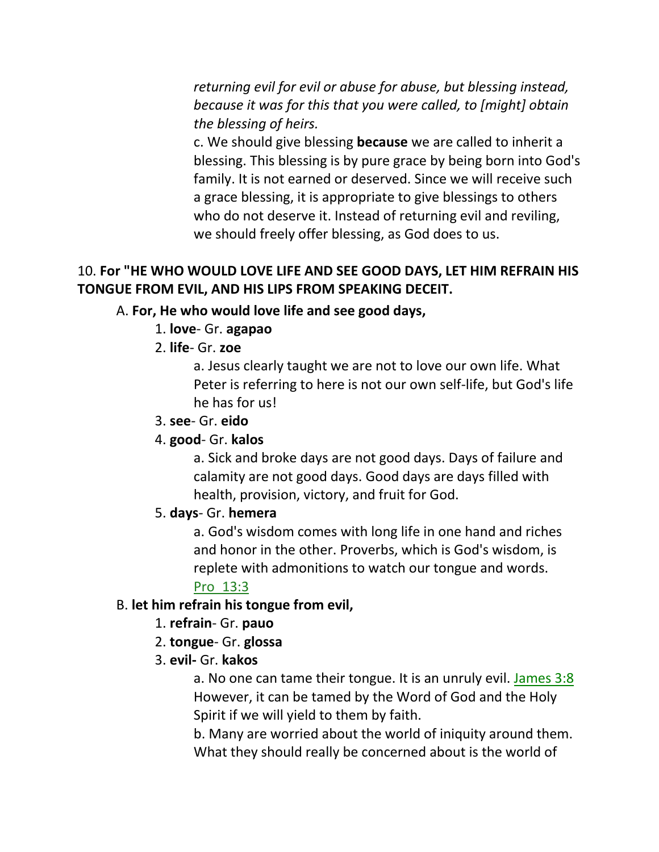*returning evil for evil or abuse for abuse, but blessing instead, because it was for this that you were called, to [might] obtain the blessing of heirs.*

c. We should give blessing **because** we are called to inherit a blessing. This blessing is by pure grace by being born into God's family. It is not earned or deserved. Since we will receive such a grace blessing, it is appropriate to give blessings to others who do not deserve it. Instead of returning evil and reviling, we should freely offer blessing, as God does to us.

## 10. **For "HE WHO WOULD LOVE LIFE AND SEE GOOD DAYS, LET HIM REFRAIN HIS TONGUE FROM EVIL, AND HIS LIPS FROM SPEAKING DECEIT.**

## A. **For, He who would love life and see good days,**

- 1. **love** Gr. **agapao**
- 2. **life** Gr. **zoe**

a. Jesus clearly taught we are not to love our own life. What Peter is referring to here is not our own self-life, but God's life he has for us!

3. **see**- Gr. **eido**

#### 4. **good**- Gr. **kalos**

a. Sick and broke days are not good days. Days of failure and calamity are not good days. Good days are days filled with health, provision, victory, and fruit for God.

#### 5. **days**- Gr. **hemera**

a. God's wisdom comes with long life in one hand and riches and honor in the other. Proverbs, which is God's wisdom, is replete with admonitions to watch our tongue and words.

## Pro\_13:3

#### B. **let him refrain his tongue from evil,**

- 1. **refrain** Gr. **pauo**
- 2. **tongue** Gr. **glossa**
- 3. **evil-** Gr. **kakos**

a. No one can tame their tongue. It is an unruly evil. James 3:8 However, it can be tamed by the Word of God and the Holy Spirit if we will yield to them by faith.

b. Many are worried about the world of iniquity around them. What they should really be concerned about is the world of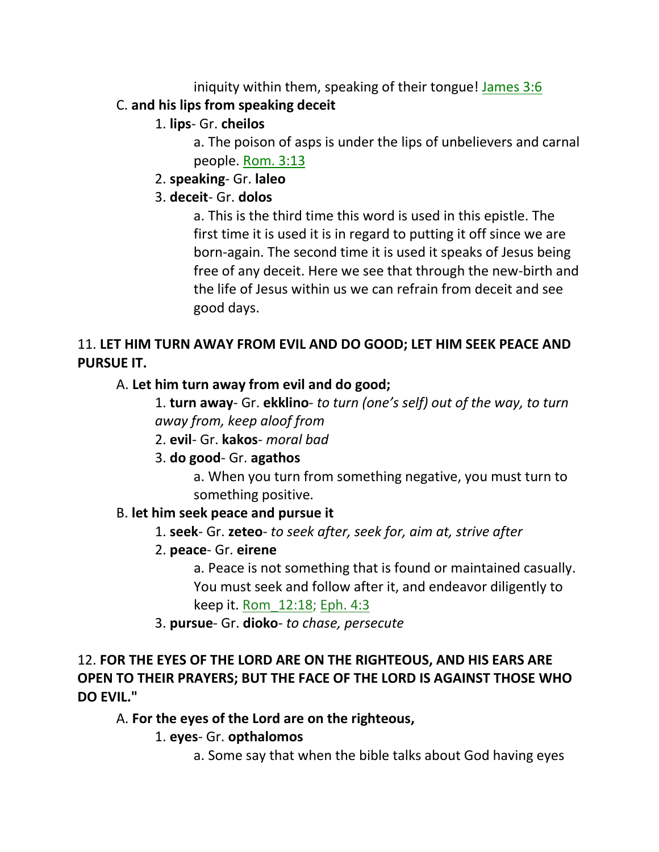iniquity within them, speaking of their tongue! James 3:6

# C. **and his lips from speaking deceit**

# 1. **lips**- Gr. **cheilos**

a. The poison of asps is under the lips of unbelievers and carnal people. Rom. 3:13

# 2. **speaking**- Gr. **laleo**

# 3. **deceit**- Gr. **dolos**

a. This is the third time this word is used in this epistle. The first time it is used it is in regard to putting it off since we are born-again. The second time it is used it speaks of Jesus being free of any deceit. Here we see that through the new-birth and the life of Jesus within us we can refrain from deceit and see good days.

# 11. **LET HIM TURN AWAY FROM EVIL AND DO GOOD; LET HIM SEEK PEACE AND PURSUE IT.**

# A. **Let him turn away from evil and do good;**

1. **turn away**- Gr. **ekklino**- *to turn (one's self) out of the way, to turn away from, keep aloof from* 

2. **evil**- Gr. **kakos**- *moral bad*

# 3. **do good**- Gr. **agathos**

a. When you turn from something negative, you must turn to something positive.

# B. **let him seek peace and pursue it**

1. **seek**- Gr. **zeteo**- *to seek after, seek for, aim at, strive after*

# 2. **peace**- Gr. **eirene**

a. Peace is not something that is found or maintained casually. You must seek and follow after it, and endeavor diligently to keep it. Rom\_12:18; Eph. 4:3

3. **pursue**- Gr. **dioko**- *to chase, persecute*

# 12. **FOR THE EYES OF THE LORD ARE ON THE RIGHTEOUS, AND HIS EARS ARE OPEN TO THEIR PRAYERS; BUT THE FACE OF THE LORD IS AGAINST THOSE WHO DO EVIL."**

# A. **For the eyes of the Lord are on the righteous,**

# 1. **eyes**- Gr. **opthalomos**

a. Some say that when the bible talks about God having eyes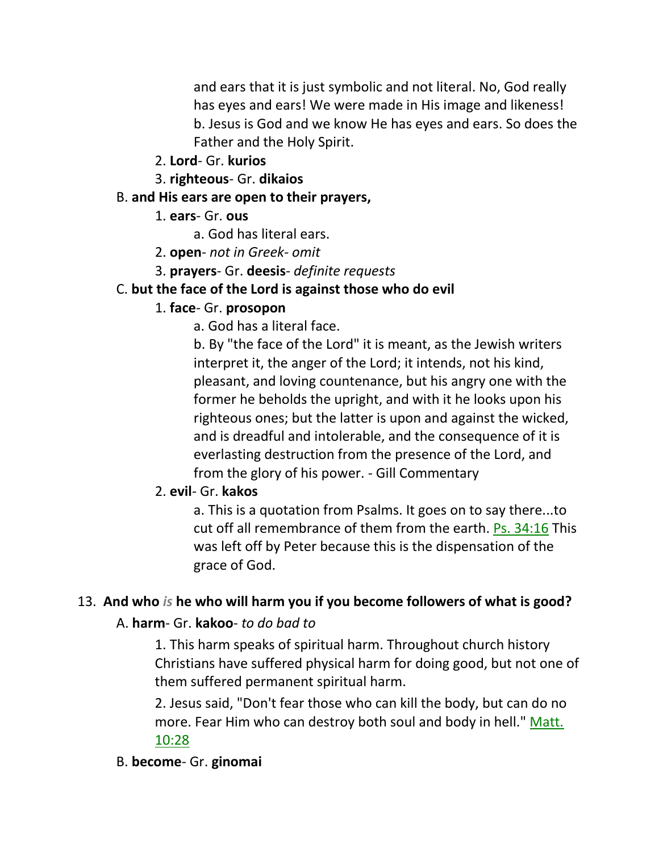and ears that it is just symbolic and not literal. No, God really has eyes and ears! We were made in His image and likeness! b. Jesus is God and we know He has eyes and ears. So does the Father and the Holy Spirit.

- 2. **Lord** Gr. **kurios**
- 3. **righteous** Gr. **dikaios**

#### B. **and His ears are open to their prayers,**

- 1. **ears** Gr. **ous**
	- a. God has literal ears.
- 2. **open** *not in Greek- omit*
- 3. **prayers** Gr. **deesis** *definite requests*

#### C. **but the face of the Lord is against those who do evil**

#### 1. **face**- Gr. **prosopon**

a. God has a literal face.

b. By "the face of the Lord" it is meant, as the Jewish writers interpret it, the anger of the Lord; it intends, not his kind, pleasant, and loving countenance, but his angry one with the former he beholds the upright, and with it he looks upon his righteous ones; but the latter is upon and against the wicked, and is dreadful and intolerable, and the consequence of it is everlasting destruction from the presence of the Lord, and from the glory of his power. - Gill Commentary

#### 2. **evil**- Gr. **kakos**

a. This is a quotation from Psalms. It goes on to say there...to cut off all remembrance of them from the earth. Ps. 34:16 This was left off by Peter because this is the dispensation of the grace of God.

#### 13. **And who** *is* **he who will harm you if you become followers of what is good?**

#### A. **harm**- Gr. **kakoo**- *to do bad to*

1. This harm speaks of spiritual harm. Throughout church history Christians have suffered physical harm for doing good, but not one of them suffered permanent spiritual harm.

2. Jesus said, "Don't fear those who can kill the body, but can do no more. Fear Him who can destroy both soul and body in hell." Matt. 10:28

#### B. **become**- Gr. **ginomai**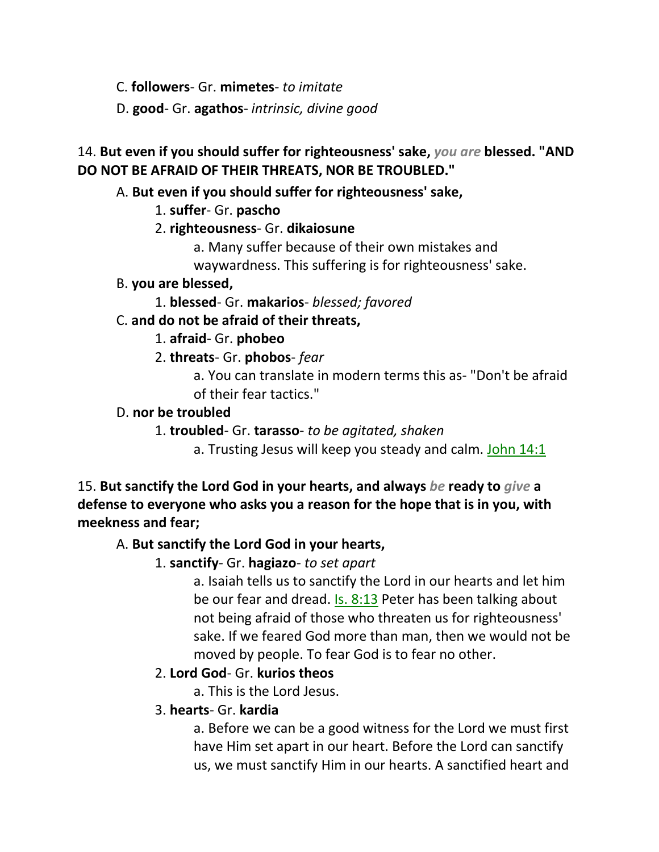C. **followers**- Gr. **mimetes**- *to imitate*

D. **good**- Gr. **agathos**- *intrinsic, divine good*

# 14. **But even if you should suffer for righteousness' sake,** *you are* **blessed. "AND DO NOT BE AFRAID OF THEIR THREATS, NOR BE TROUBLED."**

## A. **But even if you should suffer for righteousness' sake,**

1. **suffer**- Gr. **pascho**

## 2. **righteousness**- Gr. **dikaiosune**

a. Many suffer because of their own mistakes and

waywardness. This suffering is for righteousness' sake.

## B. **you are blessed,**

1. **blessed**- Gr. **makarios**- *blessed; favored*

## C. **and do not be afraid of their threats,**

## 1. **afraid**- Gr. **phobeo**

2. **threats**- Gr. **phobos**- *fear*

a. You can translate in modern terms this as- "Don't be afraid of their fear tactics."

## D. **nor be troubled**

1. **troubled**- Gr. **tarasso**- *to be agitated, shaken*

a. Trusting Jesus will keep you steady and calm. John 14:1

15. **But sanctify the Lord God in your hearts, and always** *be* **ready to** *give* **a defense to everyone who asks you a reason for the hope that is in you, with meekness and fear;** 

## A. **But sanctify the Lord God in your hearts,**

1. **sanctify**- Gr. **hagiazo**- *to set apart*

a. Isaiah tells us to sanctify the Lord in our hearts and let him be our fear and dread. Is. 8:13 Peter has been talking about not being afraid of those who threaten us for righteousness' sake. If we feared God more than man, then we would not be moved by people. To fear God is to fear no other.

## 2. **Lord God**- Gr. **kurios theos**

a. This is the Lord Jesus.

## 3. **hearts**- Gr. **kardia**

a. Before we can be a good witness for the Lord we must first have Him set apart in our heart. Before the Lord can sanctify us, we must sanctify Him in our hearts. A sanctified heart and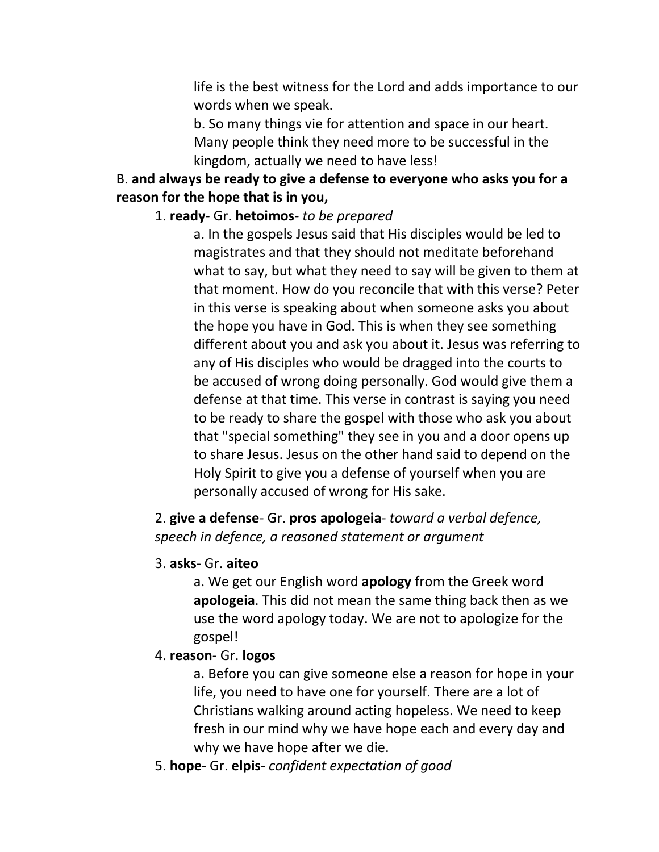life is the best witness for the Lord and adds importance to our words when we speak.

b. So many things vie for attention and space in our heart. Many people think they need more to be successful in the kingdom, actually we need to have less!

## B. **and always be ready to give a defense to everyone who asks you for a reason for the hope that is in you,**

#### 1. **ready**- Gr. **hetoimos**- *to be prepared*

a. In the gospels Jesus said that His disciples would be led to magistrates and that they should not meditate beforehand what to say, but what they need to say will be given to them at that moment. How do you reconcile that with this verse? Peter in this verse is speaking about when someone asks you about the hope you have in God. This is when they see something different about you and ask you about it. Jesus was referring to any of His disciples who would be dragged into the courts to be accused of wrong doing personally. God would give them a defense at that time. This verse in contrast is saying you need to be ready to share the gospel with those who ask you about that "special something" they see in you and a door opens up to share Jesus. Jesus on the other hand said to depend on the Holy Spirit to give you a defense of yourself when you are personally accused of wrong for His sake.

2. **give a defense**- Gr. **pros apologeia**- *toward a verbal defence, speech in defence, a reasoned statement or argument*

3. **asks**- Gr. **aiteo**

a. We get our English word **apology** from the Greek word **apologeia**. This did not mean the same thing back then as we use the word apology today. We are not to apologize for the gospel!

4. **reason**- Gr. **logos**

a. Before you can give someone else a reason for hope in your life, you need to have one for yourself. There are a lot of Christians walking around acting hopeless. We need to keep fresh in our mind why we have hope each and every day and why we have hope after we die.

5. **hope**- Gr. **elpis**- *confident expectation of good*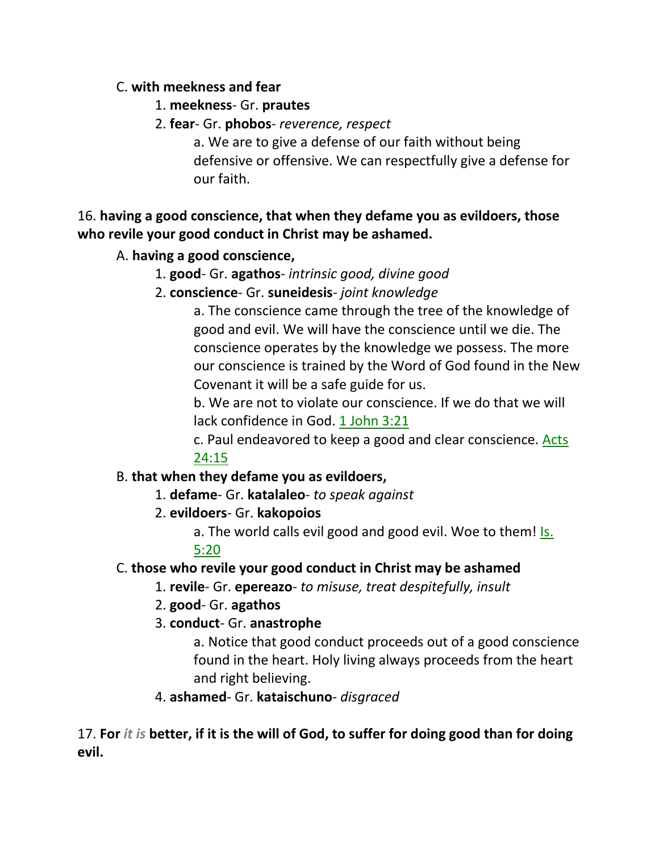## C. **with meekness and fear**

- 1. **meekness** Gr. **prautes**
- 2. **fear** Gr. **phobos** *reverence, respect*

a. We are to give a defense of our faith without being defensive or offensive. We can respectfully give a defense for our faith.

# 16. **having a good conscience, that when they defame you as evildoers, those who revile your good conduct in Christ may be ashamed.**

# A. **having a good conscience,**

# 1. **good**- Gr. **agathos**- *intrinsic good, divine good*

2. **conscience**- Gr. **suneidesis**- *joint knowledge*

a. The conscience came through the tree of the knowledge of good and evil. We will have the conscience until we die. The conscience operates by the knowledge we possess. The more our conscience is trained by the Word of God found in the New Covenant it will be a safe guide for us.

b. We are not to violate our conscience. If we do that we will lack confidence in God. 1 John 3:21

c. Paul endeavored to keep a good and clear conscience. Acts 24:15

## B. **that when they defame you as evildoers,**

1. **defame**- Gr. **katalaleo**- *to speak against*

2. **evildoers**- Gr. **kakopoios**

a. The world calls evil good and good evil. Woe to them! Is. 5:20

# C. **those who revile your good conduct in Christ may be ashamed**

- 1. **revile** Gr. **epereazo** *to misuse, treat despitefully, insult*
- 2. **good** Gr. **agathos**
- 3. **conduct** Gr. **anastrophe**

a. Notice that good conduct proceeds out of a good conscience found in the heart. Holy living always proceeds from the heart and right believing.

4. **ashamed**- Gr. **kataischuno**- *disgraced*

17. **For** *it is* **better, if it is the will of God, to suffer for doing good than for doing evil.**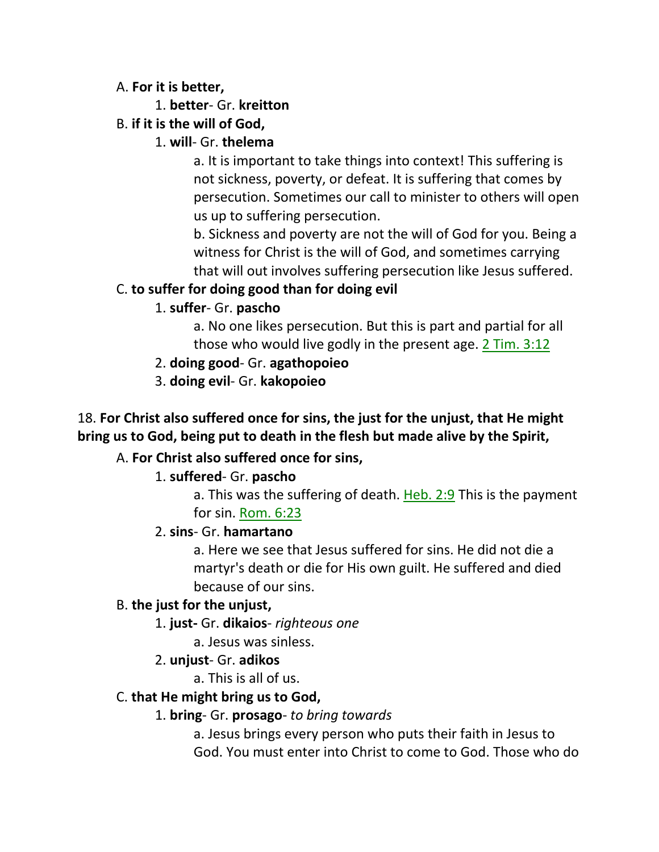### A. **For it is better,**

- 1. **better** Gr. **kreitton**
- B. **if it is the will of God,**

# 1. **will**- Gr. **thelema**

a. It is important to take things into context! This suffering is not sickness, poverty, or defeat. It is suffering that comes by persecution. Sometimes our call to minister to others will open us up to suffering persecution.

b. Sickness and poverty are not the will of God for you. Being a witness for Christ is the will of God, and sometimes carrying that will out involves suffering persecution like Jesus suffered.

# C. **to suffer for doing good than for doing evil**

# 1. **suffer**- Gr. **pascho**

a. No one likes persecution. But this is part and partial for all those who would live godly in the present age. 2 Tim. 3:12

- 2. **doing good** Gr. **agathopoieo**
- 3. **doing evil** Gr. **kakopoieo**

# 18. **For Christ also suffered once for sins, the just for the unjust, that He might bring us to God, being put to death in the flesh but made alive by the Spirit,**

# A. **For Christ also suffered once for sins,**

## 1. **suffered**- Gr. **pascho**

a. This was the suffering of death. Heb. 2:9 This is the payment for sin. Rom. 6:23

## 2. **sins**- Gr. **hamartano**

a. Here we see that Jesus suffered for sins. He did not die a martyr's death or die for His own guilt. He suffered and died because of our sins.

## B. **the just for the unjust,**

- 1. **just-** Gr. **dikaios** *righteous one*
	- a. Jesus was sinless.
- 2. **unjust** Gr. **adikos**
	- a. This is all of us.

## C. **that He might bring us to God,**

## 1. **bring**- Gr. **prosago**- *to bring towards*

a. Jesus brings every person who puts their faith in Jesus to God. You must enter into Christ to come to God. Those who do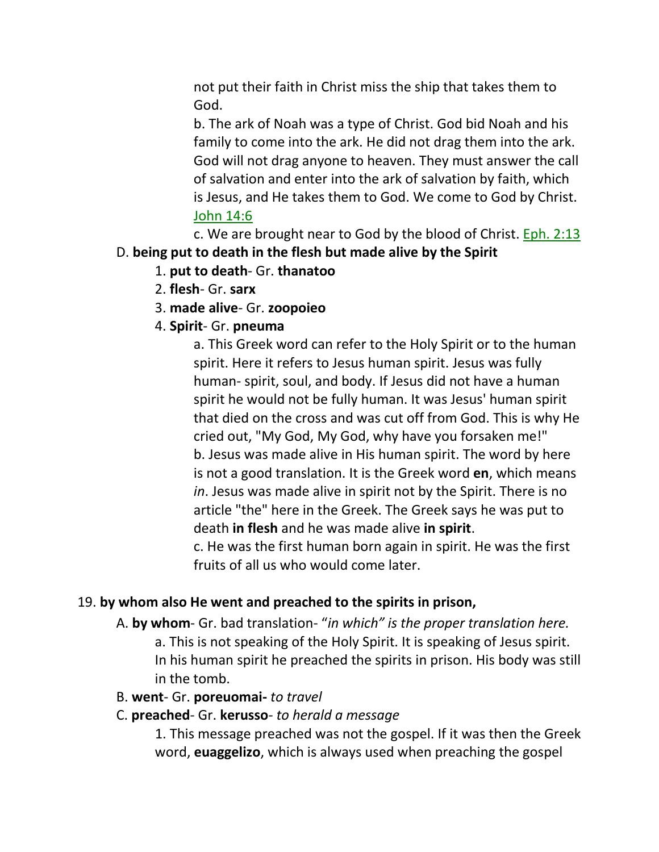not put their faith in Christ miss the ship that takes them to God.

b. The ark of Noah was a type of Christ. God bid Noah and his family to come into the ark. He did not drag them into the ark. God will not drag anyone to heaven. They must answer the call of salvation and enter into the ark of salvation by faith, which is Jesus, and He takes them to God. We come to God by Christ. John 14:6

c. We are brought near to God by the blood of Christ. Eph. 2:13 D. **being put to death in the flesh but made alive by the Spirit**

- 1. **put to death** Gr. **thanatoo**
- 2. **flesh** Gr. **sarx**
- 3. **made alive** Gr. **zoopoieo**
- 4. **Spirit** Gr. **pneuma**

a. This Greek word can refer to the Holy Spirit or to the human spirit. Here it refers to Jesus human spirit. Jesus was fully human- spirit, soul, and body. If Jesus did not have a human spirit he would not be fully human. It was Jesus' human spirit that died on the cross and was cut off from God. This is why He cried out, "My God, My God, why have you forsaken me!" b. Jesus was made alive in His human spirit. The word by here is not a good translation. It is the Greek word **en**, which means *in*. Jesus was made alive in spirit not by the Spirit. There is no article "the" here in the Greek. The Greek says he was put to death **in flesh** and he was made alive **in spirit**.

c. He was the first human born again in spirit. He was the first fruits of all us who would come later.

#### 19. **by whom also He went and preached to the spirits in prison,**

- A. **by whom** Gr. bad translation- "*in which" is the proper translation here.*
	- a. This is not speaking of the Holy Spirit. It is speaking of Jesus spirit. In his human spirit he preached the spirits in prison. His body was still in the tomb.
- B. **went** Gr. **poreuomai-** *to travel*
- C. **preached** Gr. **kerusso** *to herald a message*

1. This message preached was not the gospel. If it was then the Greek word, **euaggelizo**, which is always used when preaching the gospel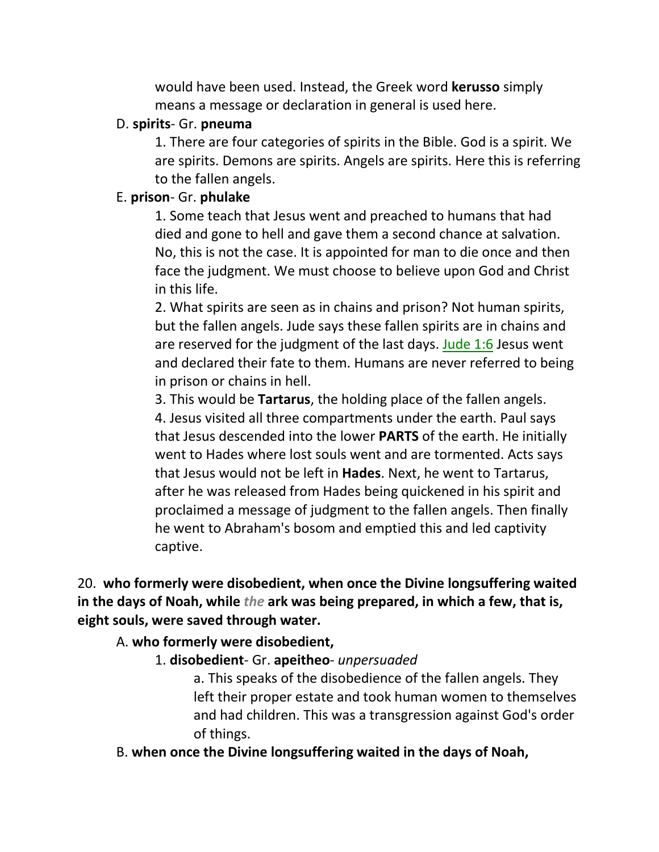would have been used. Instead, the Greek word **kerusso** simply means a message or declaration in general is used here.

#### D. **spirits**- Gr. **pneuma**

1. There are four categories of spirits in the Bible. God is a spirit. We are spirits. Demons are spirits. Angels are spirits. Here this is referring to the fallen angels.

### E. **prison**- Gr. **phulake**

1. Some teach that Jesus went and preached to humans that had died and gone to hell and gave them a second chance at salvation. No, this is not the case. It is appointed for man to die once and then face the judgment. We must choose to believe upon God and Christ in this life.

2. What spirits are seen as in chains and prison? Not human spirits, but the fallen angels. Jude says these fallen spirits are in chains and are reserved for the judgment of the last days. Jude 1:6 Jesus went and declared their fate to them. Humans are never referred to being in prison or chains in hell.

3. This would be **Tartarus**, the holding place of the fallen angels.

4. Jesus visited all three compartments under the earth. Paul says that Jesus descended into the lower **PARTS** of the earth. He initially went to Hades where lost souls went and are tormented. Acts says that Jesus would not be left in **Hades**. Next, he went to Tartarus, after he was released from Hades being quickened in his spirit and proclaimed a message of judgment to the fallen angels. Then finally he went to Abraham's bosom and emptied this and led captivity captive.

20. **who formerly were disobedient, when once the Divine longsuffering waited in the days of Noah, while** *the* **ark was being prepared, in which a few, that is, eight souls, were saved through water.** 

#### A. **who formerly were disobedient,**

1. **disobedient**- Gr. **apeitheo**- *unpersuaded*

a. This speaks of the disobedience of the fallen angels. They left their proper estate and took human women to themselves and had children. This was a transgression against God's order of things.

B. **when once the Divine longsuffering waited in the days of Noah,**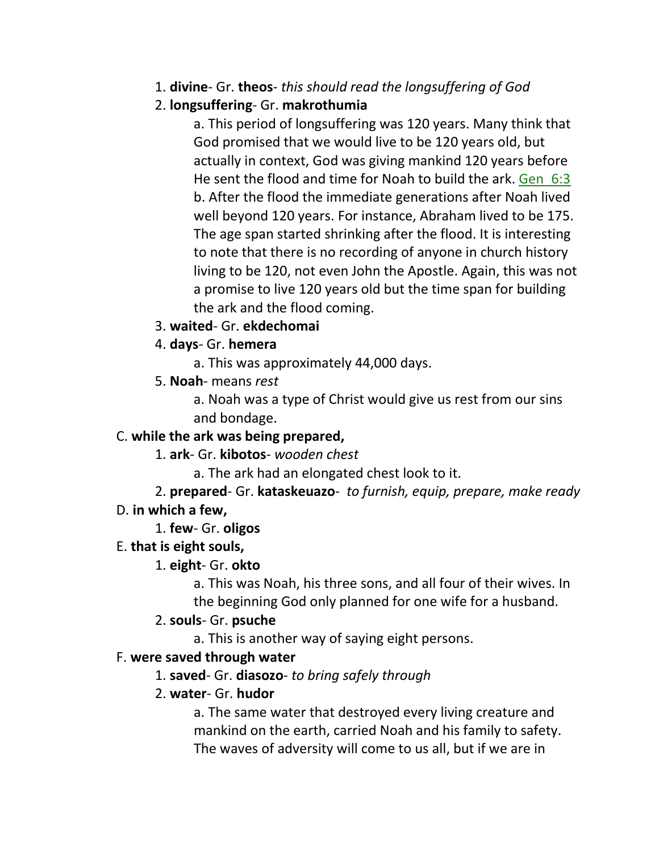- 1. **divine** Gr. **theos** *this should read the longsuffering of God*
- 2. **longsuffering** Gr. **makrothumia**

a. This period of longsuffering was 120 years. Many think that God promised that we would live to be 120 years old, but actually in context, God was giving mankind 120 years before He sent the flood and time for Noah to build the ark. Gen\_6:3 b. After the flood the immediate generations after Noah lived well beyond 120 years. For instance, Abraham lived to be 175. The age span started shrinking after the flood. It is interesting to note that there is no recording of anyone in church history living to be 120, not even John the Apostle. Again, this was not a promise to live 120 years old but the time span for building the ark and the flood coming.

3. **waited**- Gr. **ekdechomai**

## 4. **days**- Gr. **hemera**

- a. This was approximately 44,000 days.
- 5. **Noah** means *rest*

a. Noah was a type of Christ would give us rest from our sins and bondage.

# C. **while the ark was being prepared,**

- 1. **ark** Gr. **kibotos** *wooden chest*
	- a. The ark had an elongated chest look to it.
- 2. **prepared** Gr. **kataskeuazo** *to furnish, equip, prepare, make ready* D. **in which a few,**

1. **few**- Gr. **oligos**

## E. **that is eight souls,**

## 1. **eight**- Gr. **okto**

a. This was Noah, his three sons, and all four of their wives. In the beginning God only planned for one wife for a husband.

#### 2. **souls**- Gr. **psuche**

a. This is another way of saying eight persons.

## F. **were saved through water**

## 1. **saved**- Gr. **diasozo**- *to bring safely through*

#### 2. **water**- Gr. **hudor**

a. The same water that destroyed every living creature and mankind on the earth, carried Noah and his family to safety. The waves of adversity will come to us all, but if we are in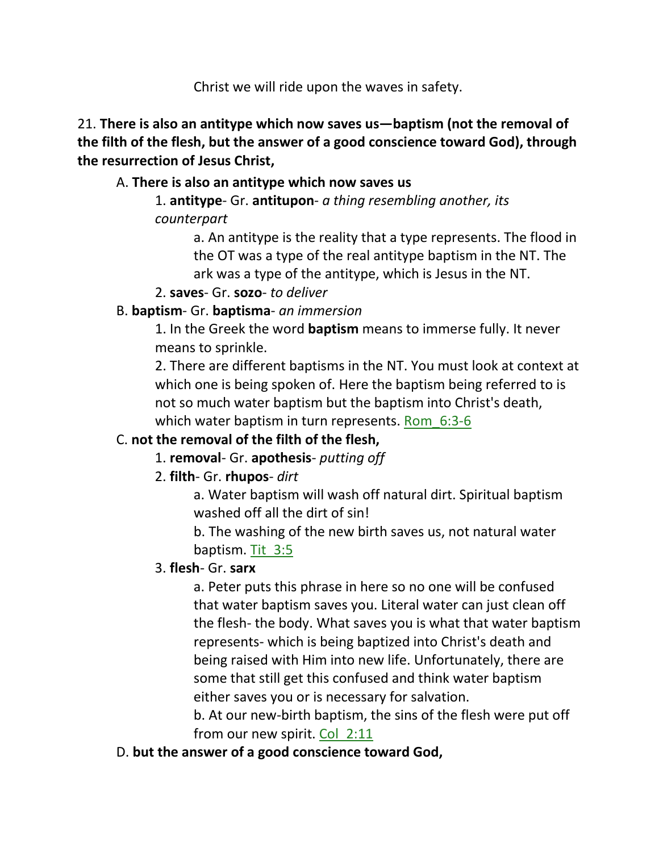Christ we will ride upon the waves in safety.

21. **There is also an antitype which now saves us—baptism (not the removal of the filth of the flesh, but the answer of a good conscience toward God), through the resurrection of Jesus Christ,** 

# A. **There is also an antitype which now saves us**

1. **antitype**- Gr. **antitupon**- *a thing resembling another, its counterpart*

> a. An antitype is the reality that a type represents. The flood in the OT was a type of the real antitype baptism in the NT. The ark was a type of the antitype, which is Jesus in the NT.

2. **saves**- Gr. **sozo**- *to deliver*

## B. **baptism**- Gr. **baptisma**- *an immersion*

1. In the Greek the word **baptism** means to immerse fully. It never means to sprinkle.

2. There are different baptisms in the NT. You must look at context at which one is being spoken of. Here the baptism being referred to is not so much water baptism but the baptism into Christ's death, which water baptism in turn represents. Rom 6:3-6

# C. **not the removal of the filth of the flesh,**

1. **removal**- Gr. **apothesis**- *putting off*

# 2. **filth**- Gr. **rhupos**- *dirt*

a. Water baptism will wash off natural dirt. Spiritual baptism washed off all the dirt of sin!

b. The washing of the new birth saves us, not natural water baptism. Tit\_3:5

# 3. **flesh**- Gr. **sarx**

a. Peter puts this phrase in here so no one will be confused that water baptism saves you. Literal water can just clean off the flesh- the body. What saves you is what that water baptism represents- which is being baptized into Christ's death and being raised with Him into new life. Unfortunately, there are some that still get this confused and think water baptism either saves you or is necessary for salvation.

b. At our new-birth baptism, the sins of the flesh were put off from our new spirit. Col\_2:11

# D. **but the answer of a good conscience toward God,**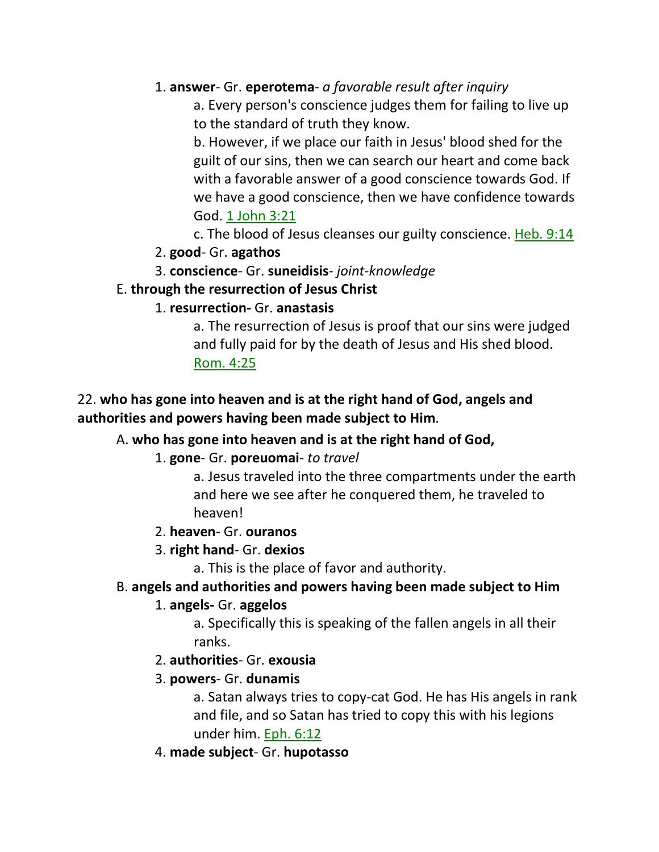## 1. **answer**- Gr. **eperotema**- *a favorable result after inquiry*

a. Every person's conscience judges them for failing to live up to the standard of truth they know.

b. However, if we place our faith in Jesus' blood shed for the guilt of our sins, then we can search our heart and come back with a favorable answer of a good conscience towards God. If we have a good conscience, then we have confidence towards God. 1 John 3:21

c. The blood of Jesus cleanses our guilty conscience. Heb. 9:14

## 2. **good**- Gr. **agathos**

3. **conscience**- Gr. **suneidisis**- *joint-knowledge*

## E. **through the resurrection of Jesus Christ**

## 1. **resurrection-** Gr. **anastasis**

a. The resurrection of Jesus is proof that our sins were judged and fully paid for by the death of Jesus and His shed blood. Rom. 4:25

# 22. **who has gone into heaven and is at the right hand of God, angels and authorities and powers having been made subject to Him**.

## A. **who has gone into heaven and is at the right hand of God,**

## 1. **gone**- Gr. **poreuomai**- *to travel*

a. Jesus traveled into the three compartments under the earth and here we see after he conquered them, he traveled to heaven!

## 2. **heaven**- Gr. **ouranos**

## 3. **right hand**- Gr. **dexios**

a. This is the place of favor and authority.

## B. **angels and authorities and powers having been made subject to Him**

## 1. **angels-** Gr. **aggelos**

a. Specifically this is speaking of the fallen angels in all their ranks.

- 2. **authorities** Gr. **exousia**
- 3. **powers** Gr. **dunamis**

a. Satan always tries to copy-cat God. He has His angels in rank and file, and so Satan has tried to copy this with his legions under him. Eph. 6:12

4. **made subject**- Gr. **hupotasso**